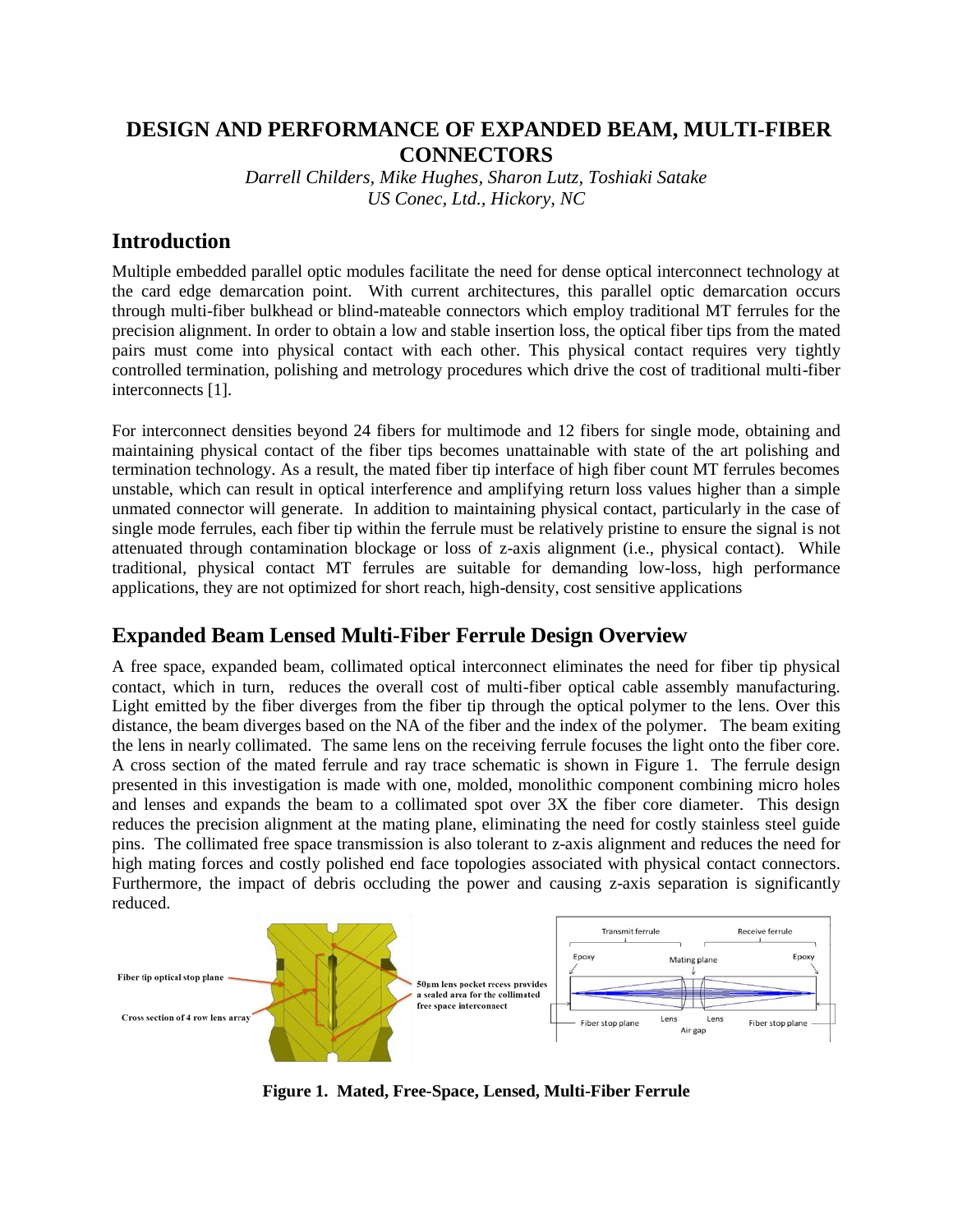# **DESIGN AND PERFORMANCE OF EXPANDED BEAM, MULTI-FIBER CONNECTORS**

*Darrell Childers, Mike Hughes, Sharon Lutz, Toshiaki Satake US Conec, Ltd., Hickory, NC*

### **Introduction**

Multiple embedded parallel optic modules facilitate the need for dense optical interconnect technology at the card edge demarcation point. With current architectures, this parallel optic demarcation occurs through multi-fiber bulkhead or blind-mateable connectors which employ traditional MT ferrules for the precision alignment. In order to obtain a low and stable insertion loss, the optical fiber tips from the mated pairs must come into physical contact with each other. This physical contact requires very tightly controlled termination, polishing and metrology procedures which drive the cost of traditional multi-fiber interconnects [1].

For interconnect densities beyond 24 fibers for multimode and 12 fibers for single mode, obtaining and maintaining physical contact of the fiber tips becomes unattainable with state of the art polishing and termination technology. As a result, the mated fiber tip interface of high fiber count MT ferrules becomes unstable, which can result in optical interference and amplifying return loss values higher than a simple unmated connector will generate. In addition to maintaining physical contact, particularly in the case of single mode ferrules, each fiber tip within the ferrule must be relatively pristine to ensure the signal is not attenuated through contamination blockage or loss of z-axis alignment (i.e., physical contact). While traditional, physical contact MT ferrules are suitable for demanding low-loss, high performance applications, they are not optimized for short reach, high-density, cost sensitive applications

# **Expanded Beam Lensed Multi-Fiber Ferrule Design Overview**

A free space, expanded beam, collimated optical interconnect eliminates the need for fiber tip physical contact, which in turn, reduces the overall cost of multi-fiber optical cable assembly manufacturing. Light emitted by the fiber diverges from the fiber tip through the optical polymer to the lens. Over this distance, the beam diverges based on the NA of the fiber and the index of the polymer. The beam exiting the lens in nearly collimated. The same lens on the receiving ferrule focuses the light onto the fiber core. A cross section of the mated ferrule and ray trace schematic is shown in Figure 1. The ferrule design presented in this investigation is made with one, molded, monolithic component combining micro holes and lenses and expands the beam to a collimated spot over 3X the fiber core diameter. This design reduces the precision alignment at the mating plane, eliminating the need for costly stainless steel guide pins. The collimated free space transmission is also tolerant to z-axis alignment and reduces the need for high mating forces and costly polished end face topologies associated with physical contact connectors. Furthermore, the impact of debris occluding the power and causing z-axis separation is significantly reduced.



**Figure 1. Mated, Free-Space, Lensed, Multi-Fiber Ferrule**